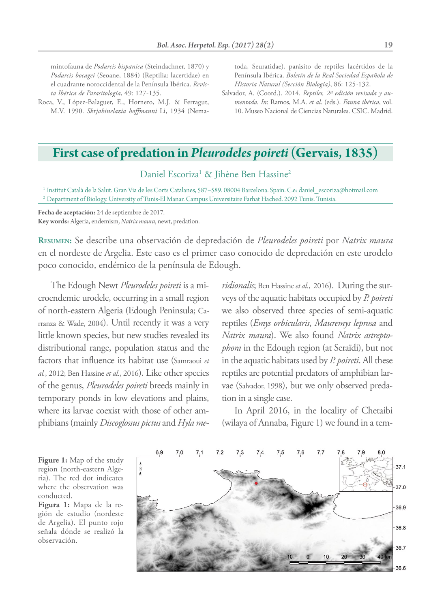mintofauna de *Podarcis hispanica* (Steindachner, 1870) y *Podarcis bocagei* (Seoane, 1884) (Reptilia: lacertidae) en el cuadrante noroccidental de la Península Ibérica. *Revista Ibérica de Parasitología*, 49: 127-135.

Roca, V., López-Balaguer, E., Hornero, M.J. & Ferragut, M.V. 1990. *Skrjabinelazia hoffmanni* Li, 1934 (Nematoda, Seuratidae), parásito de reptiles lacértidos de la Península Ibérica. *Boletín de la Real Sociedad Española de Historia Natural (Sección Biología)*, 86: 125-132.

Salvador, A. (Coord.). 2014. *Reptiles, 2ª edición revisada y aumentada*. *In*: Ramos, M.A. *et al*. (eds.). *Fauna ibérica*, vol. 10. Museo Nacional de Ciencias Naturales. CSIC. Madrid.

## **First case of predation in** *Pleurodeles poireti* **(Gervais, 1835)**

Daniel Escoriza<sup>1</sup> & Jihène Ben Hassine<sup>2</sup>

<sup>1</sup> Institut Català de la Salut. Gran Via de les Corts Catalanes, 587−589. 08004 Barcelona. Spain. C.e: daniel\_escoriza@hotmail.com <sup>2</sup> Department of Biology. University of Tunis-El Manar. Campus Universitaire Farhat Hached. 2092 Tunis. Tunisia.

**Fecha de aceptación:** 24 de septiembre de 2017. **Key words:** Algeria, endemism, *Natrix maura*, newt, predation.

**Resumen:** Se describe una observación de depredación de *Pleurodeles poireti* por *Natrix maura* en el nordeste de Argelia. Este caso es el primer caso conocido de depredación en este urodelo poco conocido, endémico de la península de Edough.

The Edough Newt *Pleurodeles poireti* is a microendemic urodele, occurring in a small region of north-eastern Algeria (Edough Peninsula; Carranza & Wade, 2004). Until recently it was a very little known species, but new studies revealed its distributional range, population status and the factors that influence its habitat use (Samraoui *et al.*, 2012; Ben Hassine *et al.*, 2016). Like other species of the genus, *Pleurodeles poireti* breeds mainly in temporary ponds in low elevations and plains, where its larvae coexist with those of other amphibians (mainly *Discoglossus pictus* and *Hyla me-*

*ridionalis*; Ben Hassine *et al.*, 2016). During the surveys of the aquatic habitats occupied by *P. poireti* we also observed three species of semi-aquatic reptiles (*Emys orbicularis*, *Mauremys leprosa* and *Natrix maura*). We also found *Natrix astreptophora* in the Edough region (at Seraïdi), but not in the aquatic habitats used by *P. poireti*. All these reptiles are potential predators of amphibian larvae (Salvador, 1998), but we only observed predation in a single case.

In April 2016, in the locality of Chetaibi (wilaya of Annaba, Figure 1) we found in a tem-

**Figure 1:** Map of the study region (north-eastern Algeria). The red dot indicates where the observation was conducted.

**Figura 1:** Mapa de la región de estudio (nordeste de Argelia). El punto rojo señala dónde se realizó la observación.